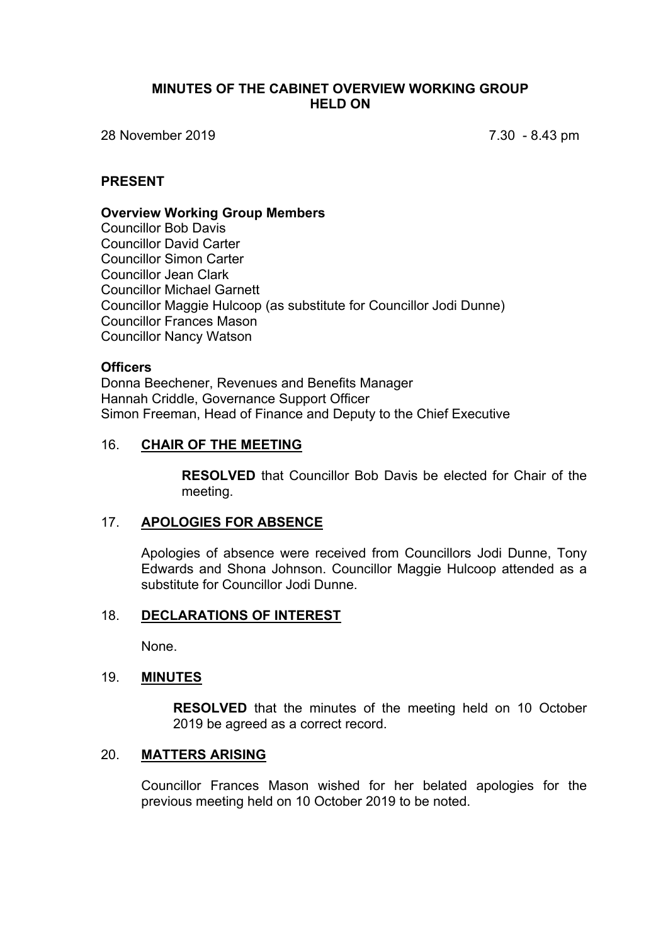### **MINUTES OF THE CABINET OVERVIEW WORKING GROUP HELD ON**

28 November 2019 7.30 - 8.43 pm

## **PRESENT**

#### **Overview Working Group Members**

Councillor Bob Davis Councillor David Carter Councillor Simon Carter Councillor Jean Clark Councillor Michael Garnett Councillor Maggie Hulcoop (as substitute for Councillor Jodi Dunne) Councillor Frances Mason Councillor Nancy Watson

## **Officers**

Donna Beechener, Revenues and Benefits Manager Hannah Criddle, Governance Support Officer Simon Freeman, Head of Finance and Deputy to the Chief Executive

## 16. **CHAIR OF THE MEETING**

**RESOLVED** that Councillor Bob Davis be elected for Chair of the meeting.

#### 17. **APOLOGIES FOR ABSENCE**

Apologies of absence were received from Councillors Jodi Dunne, Tony Edwards and Shona Johnson. Councillor Maggie Hulcoop attended as a substitute for Councillor Jodi Dunne.

### 18. **DECLARATIONS OF INTEREST**

None.

#### 19. **MINUTES**

**RESOLVED** that the minutes of the meeting held on 10 October 2019 be agreed as a correct record.

## 20. **MATTERS ARISING**

Councillor Frances Mason wished for her belated apologies for the previous meeting held on 10 October 2019 to be noted.